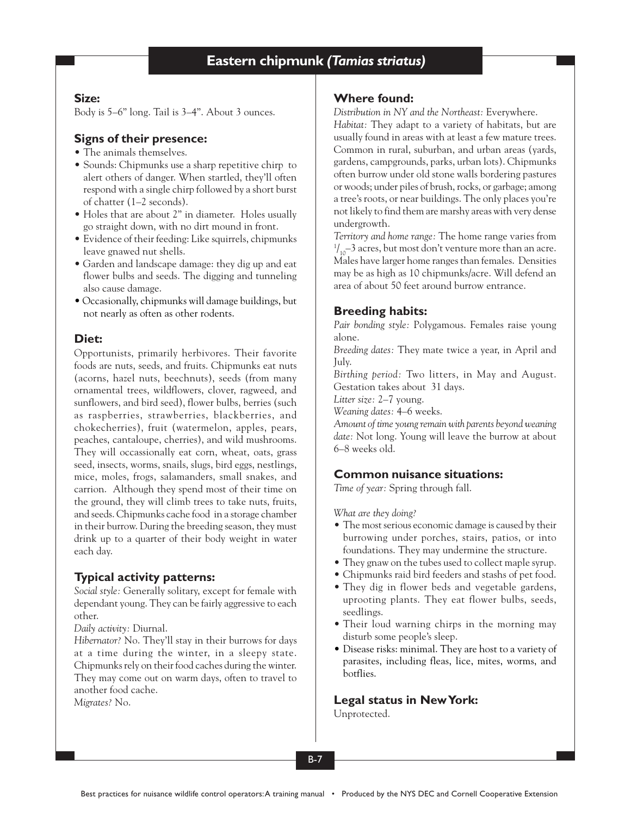## **Size:**

Body is 5–6" long. Tail is 3–4". About 3 ounces.

# **Signs of their presence:**

- The animals themselves.
- Sounds: Chipmunks use a sharp repetitive chirp to alert others of danger. When startled, they'll often respond with a single chirp followed by a short burst of chatter (1–2 seconds).
- Holes that are about 2" in diameter. Holes usually go straight down, with no dirt mound in front.
- Evidence of their feeding: Like squirrels, chipmunks leave gnawed nut shells.
- Garden and landscape damage: they dig up and eat flower bulbs and seeds. The digging and tunneling also cause damage.
- Occasionally, chipmunks will damage buildings, but not nearly as often as other rodents.

# **Diet:**

Opportunists, primarily herbivores. Their favorite foods are nuts, seeds, and fruits. Chipmunks eat nuts (acorns, hazel nuts, beechnuts), seeds (from many ornamental trees, wildflowers, clover, ragweed, and sunflowers, and bird seed), flower bulbs, berries (such as raspberries, strawberries, blackberries, and chokecherries), fruit (watermelon, apples, pears, peaches, cantaloupe, cherries), and wild mushrooms. They will occassionally eat corn, wheat, oats, grass seed, insects, worms, snails, slugs, bird eggs, nestlings, mice, moles, frogs, salamanders, small snakes, and carrion. Although they spend most of their time on the ground, they will climb trees to take nuts, fruits, and seeds. Chipmunks cache food in a storage chamber in their burrow. During the breeding season, they must drink up to a quarter of their body weight in water each day.

# **Typical activity patterns:**

*Social style:* Generally solitary, except for female with dependant young. They can be fairly aggressive to each other.

*Daily activity:* Diurnal.

*Hibernator?* No. They'll stay in their burrows for days at a time during the winter, in a sleepy state. Chipmunks rely on their food caches during the winter. They may come out on warm days, often to travel to another food cache.

*Migrates?* No.

## **Where found:**

*Distribution in NY and the Northeast:* Everywhere.

*Habitat:* They adapt to a variety of habitats, but are usually found in areas with at least a few mature trees. Common in rural, suburban, and urban areas (yards, gardens, campgrounds, parks, urban lots). Chipmunks often burrow under old stone walls bordering pastures or woods; under piles of brush, rocks, or garbage; among a tree's roots, or near buildings. The only places you're not likely to find them are marshy areas with very dense undergrowth.

*Territory and home range:* The home range varies from  $^{1}/_{10}$ –3 acres, but most don't venture more than an acre. Males have larger home ranges than females. Densities may be as high as 10 chipmunks/acre. Will defend an area of about 50 feet around burrow entrance.

# **Breeding habits:**

*Pair bonding style:* Polygamous. Females raise young alone.

*Breeding dates:* They mate twice a year, in April and July.

*Birthing period:* Two litters, in May and August. Gestation takes about 31 days.

*Litter size:* 2–7 young.

*Weaning dates:* 4–6 weeks.

*Amount of time young remain with parents beyond weaning date:* Not long. Young will leave the burrow at about 6–8 weeks old.

# **Common nuisance situations:**

*Time of year:* Spring through fall.

*What are they doing?*

- The most serious economic damage is caused by their burrowing under porches, stairs, patios, or into foundations. They may undermine the structure.
- They gnaw on the tubes used to collect maple syrup.
- Chipmunks raid bird feeders and stashs of pet food.
- They dig in flower beds and vegetable gardens, uprooting plants. They eat flower bulbs, seeds, seedlings.
- Their loud warning chirps in the morning may disturb some people's sleep.
- Disease risks: minimal. They are host to a variety of parasites, including fleas, lice, mites, worms, and botflies.

**Legal status in New York:**

Unprotected.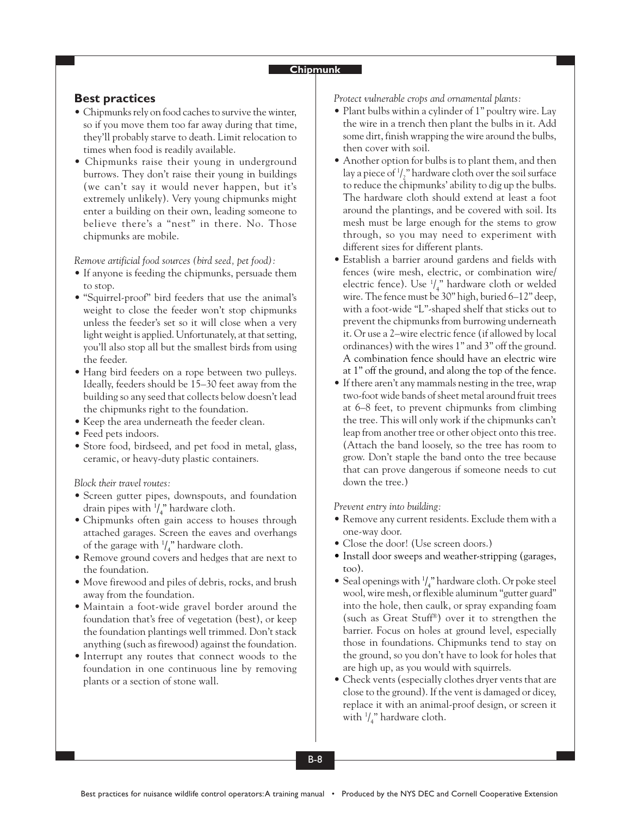#### **Chipmunk**

## **Best practices**

- Chipmunks rely on food caches to survive the winter, so if you move them too far away during that time, they'll probably starve to death. Limit relocation to times when food is readily available.
- Chipmunks raise their young in underground burrows. They don't raise their young in buildings (we can't say it would never happen, but it's extremely unlikely). Very young chipmunks might enter a building on their own, leading someone to believe there's a "nest" in there. No. Those chipmunks are mobile.

#### *Remove artificial food sources (bird seed, pet food):*

- If anyone is feeding the chipmunks, persuade them to stop.
- "Squirrel-proof" bird feeders that use the animal's weight to close the feeder won't stop chipmunks unless the feeder's set so it will close when a very light weight is applied. Unfortunately, at that setting, you'll also stop all but the smallest birds from using the feeder.
- Hang bird feeders on a rope between two pulleys. Ideally, feeders should be 15–30 feet away from the building so any seed that collects below doesn't lead the chipmunks right to the foundation.
- Keep the area underneath the feeder clean.
- Feed pets indoors.
- Store food, birdseed, and pet food in metal, glass, ceramic, or heavy-duty plastic containers.

#### *Block their travel routes:*

- Screen gutter pipes, downspouts, and foundation drain pipes with  $\frac{1}{4}$ " hardware cloth.
- Chipmunks often gain access to houses through attached garages. Screen the eaves and overhangs of the garage with  $\frac{1}{4}$ " hardware cloth.
- Remove ground covers and hedges that are next to the foundation.
- Move firewood and piles of debris, rocks, and brush away from the foundation.
- Maintain a foot-wide gravel border around the foundation that's free of vegetation (best), or keep the foundation plantings well trimmed. Don't stack anything (such as firewood) against the foundation.
- Interrupt any routes that connect woods to the foundation in one continuous line by removing plants or a section of stone wall.

*Protect vulnerable crops and ornamental plants:*

- Plant bulbs within a cylinder of 1" poultry wire. Lay the wire in a trench then plant the bulbs in it. Add some dirt, finish wrapping the wire around the bulbs, then cover with soil.
- Another option for bulbs is to plant them, and then lay a piece of  $\frac{1}{2}$ " hardware cloth over the soil surface to reduce the chipmunks' ability to dig up the bulbs. The hardware cloth should extend at least a foot around the plantings, and be covered with soil. Its mesh must be large enough for the stems to grow through, so you may need to experiment with different sizes for different plants.
- Establish a barrier around gardens and fields with fences (wire mesh, electric, or combination wire/ electric fence). Use 1 / 4 " hardware cloth or welded wire. The fence must be 30" high, buried 6–12" deep, with a foot-wide "L"-shaped shelf that sticks out to prevent the chipmunks from burrowing underneath it. Or use a 2–wire electric fence (if allowed by local ordinances) with the wires 1" and 3" off the ground. A combination fence should have an electric wire at 1" off the ground, and along the top of the fence.
- If there aren't any mammals nesting in the tree, wrap two-foot wide bands of sheet metal around fruit trees at 6–8 feet, to prevent chipmunks from climbing the tree. This will only work if the chipmunks can't leap from another tree or other object onto this tree. (Attach the band loosely, so the tree has room to grow. Don't staple the band onto the tree because that can prove dangerous if someone needs to cut down the tree.)

#### *Prevent entry into building:*

- Remove any current residents. Exclude them with a one-way door.
- Close the door! (Use screen doors.)
- Install door sweeps and weather-stripping (garages, too).
- Seal openings with  $\frac{1}{4}$ " hardware cloth. Or poke steel wool, wire mesh, or flexible aluminum "gutter guard" into the hole, then caulk, or spray expanding foam (such as Great Stuff®) over it to strengthen the barrier. Focus on holes at ground level, especially those in foundations. Chipmunks tend to stay on the ground, so you don't have to look for holes that are high up, as you would with squirrels.
- Check vents (especially clothes dryer vents that are close to the ground). If the vent is damaged or dicey, replace it with an animal-proof design, or screen it with  $\frac{1}{4}$ " hardware cloth.